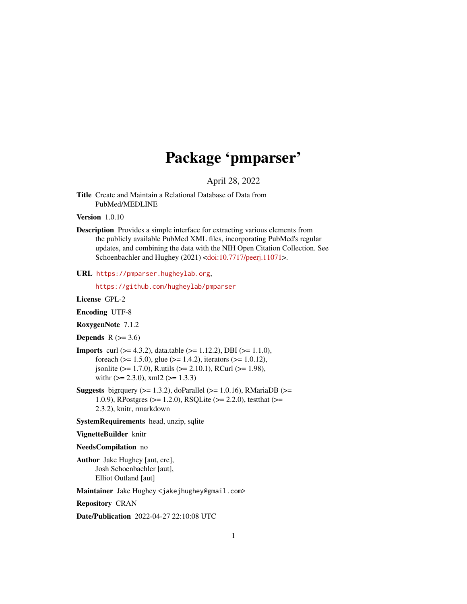# Package 'pmparser'

April 28, 2022

<span id="page-0-0"></span>Title Create and Maintain a Relational Database of Data from PubMed/MEDLINE

Version 1.0.10

Description Provides a simple interface for extracting various elements from the publicly available PubMed XML files, incorporating PubMed's regular updates, and combining the data with the NIH Open Citation Collection. See Schoenbachler and Hughey (2021) [<doi:10.7717/peerj.11071>](https://doi.org/10.7717/peerj.11071).

#### URL <https://pmparser.hugheylab.org>,

<https://github.com/hugheylab/pmparser>

License GPL-2

Encoding UTF-8

RoxygenNote 7.1.2

Depends  $R$  ( $>= 3.6$ )

- **Imports** curl ( $> = 4.3.2$ ), data.table ( $> = 1.12.2$ ), DBI ( $> = 1.1.0$ ), foreach ( $>= 1.5.0$ ), glue ( $>= 1.4.2$ ), iterators ( $>= 1.0.12$ ), jsonlite (>= 1.7.0), R.utils (>= 2.10.1), RCurl (>= 1.98), with  $(>= 2.3.0)$ , xml2  $(>= 1.3.3)$
- Suggests bigrquery ( $>= 1.3.2$ ), doParallel ( $>= 1.0.16$ ), RMariaDB ( $>=$ 1.0.9), RPostgres (>= 1.2.0), RSQLite (>= 2.2.0), testthat (>= 2.3.2), knitr, rmarkdown
- SystemRequirements head, unzip, sqlite

#### VignetteBuilder knitr

#### NeedsCompilation no

Author Jake Hughey [aut, cre], Josh Schoenbachler [aut], Elliot Outland [aut]

Maintainer Jake Hughey <jakejhughey@gmail.com>

Repository CRAN

Date/Publication 2022-04-27 22:10:08 UTC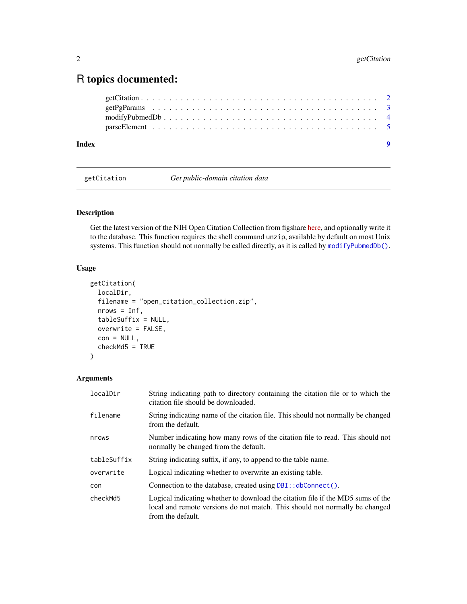# <span id="page-1-0"></span>R topics documented:

| Index | $\bullet$ |
|-------|-----------|
|       |           |
|       |           |
|       |           |
|       |           |

<span id="page-1-1"></span>getCitation *Get public-domain citation data*

# Description

Get the latest version of the NIH Open Citation Collection from figshare [here,](https://nih.figshare.com/collections/iCite_Database_Snapshots_NIH_Open_Citation_Collection_/4586573) and optionally write it to the database. This function requires the shell command unzip, available by default on most Unix systems. This function should not normally be called directly, as it is called by [modifyPubmedDb\(\)](#page-3-1).

# Usage

```
getCitation(
  localDir,
  filename = "open_citation_collection.zip",
 nrows = Inf,tableSuffix = NULL,
 overwrite = FALSE,
 con = NULL,checkMd5 = TRUE
)
```
# Arguments

| localDir    | String indicating path to directory containing the citation file or to which the<br>citation file should be downloaded.                                                             |
|-------------|-------------------------------------------------------------------------------------------------------------------------------------------------------------------------------------|
| filename    | String indicating name of the citation file. This should not normally be changed<br>from the default.                                                                               |
| nrows       | Number indicating how many rows of the citation file to read. This should not<br>normally be changed from the default.                                                              |
| tableSuffix | String indicating suffix, if any, to append to the table name.                                                                                                                      |
| overwrite   | Logical indicating whether to overwrite an existing table.                                                                                                                          |
| con         | Connection to the database, created using DBI:: dbConnect().                                                                                                                        |
| checkMd5    | Logical indicating whether to download the citation file if the MD5 sums of the<br>local and remote versions do not match. This should not normally be changed<br>from the default. |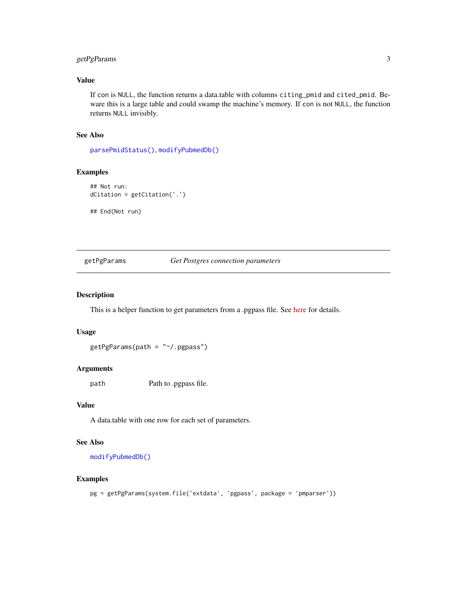# <span id="page-2-0"></span>getPgParams 3

# Value

If con is NULL, the function returns a data.table with columns citing\_pmid and cited\_pmid. Beware this is a large table and could swamp the machine's memory. If con is not NULL, the function returns NULL invisibly.

# See Also

[parsePmidStatus\(\)](#page-4-1), [modifyPubmedDb\(\)](#page-3-1)

# Examples

```
## Not run:
dCitation = getCitation('.')
## End(Not run)
```
### <span id="page-2-1"></span>getPgParams *Get Postgres connection parameters*

# Description

This is a helper function to get parameters from a .pgpass file. See [here](https://www.postgresql.org/docs/9.6/libpq-pgpass.html) for details.

### Usage

```
getPgParams(path = "~/.pgpass")
```
# Arguments

path Path to .pgpass file.

# Value

A data.table with one row for each set of parameters.

# See Also

[modifyPubmedDb\(\)](#page-3-1)

#### Examples

pg = getPgParams(system.file('extdata', 'pgpass', package = 'pmparser'))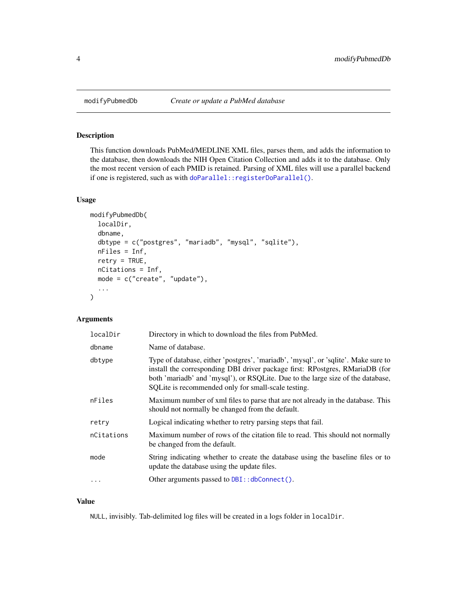### Description

This function downloads PubMed/MEDLINE XML files, parses them, and adds the information to the database, then downloads the NIH Open Citation Collection and adds it to the database. Only the most recent version of each PMID is retained. Parsing of XML files will use a parallel backend if one is registered, such as with [doParallel::registerDoParallel\(\)](#page-0-0).

# Usage

```
modifyPubmedDb(
  localDir,
  dbname,
  dbtype = c("postgres", "mariadb", "mysql", "sqlite"),
  nFiles = Inf,
  retry = TRUE,
  nCitations = Inf,
  mode = c("create", "update"),
  ...
)
```
# Arguments

| localDir   | Directory in which to download the files from PubMed.                                                                                                                                                                                                                                                        |
|------------|--------------------------------------------------------------------------------------------------------------------------------------------------------------------------------------------------------------------------------------------------------------------------------------------------------------|
| dbname     | Name of database.                                                                                                                                                                                                                                                                                            |
| dbtype     | Type of database, either 'postgres', 'mariadb', 'mysql', or 'sqlite'. Make sure to<br>install the corresponding DBI driver package first: RPostgres, RMariaDB (for<br>both 'mariadb' and 'mysql'), or RSQLite. Due to the large size of the database,<br>SQLite is recommended only for small-scale testing. |
| nFiles     | Maximum number of xml files to parse that are not already in the database. This<br>should not normally be changed from the default.                                                                                                                                                                          |
| retry      | Logical indicating whether to retry parsing steps that fail.                                                                                                                                                                                                                                                 |
| nCitations | Maximum number of rows of the citation file to read. This should not normally<br>be changed from the default.                                                                                                                                                                                                |
| mode       | String indicating whether to create the database using the baseline files or to<br>update the database using the update files.                                                                                                                                                                               |
|            | Other arguments passed to DBI:: dbConnect().                                                                                                                                                                                                                                                                 |
|            |                                                                                                                                                                                                                                                                                                              |

#### Value

NULL, invisibly. Tab-delimited log files will be created in a logs folder in localDir.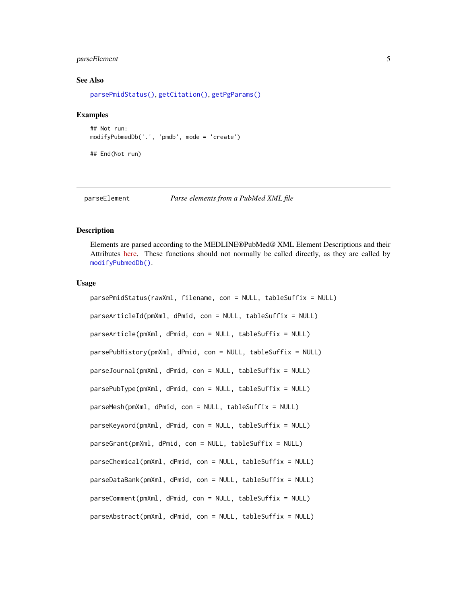# <span id="page-4-0"></span>parseElement 5

#### See Also

[parsePmidStatus\(\)](#page-4-1), [getCitation\(\)](#page-1-1), [getPgParams\(\)](#page-2-1)

#### Examples

```
## Not run:
modifyPubmedDb('.', 'pmdb', mode = 'create')
```
## End(Not run)

```
parseElement Parse elements from a PubMed XML file
```
#### <span id="page-4-1"></span>Description

Elements are parsed according to the MEDLINE®PubMed® XML Element Descriptions and their Attributes [here.](https://www.nlm.nih.gov/bsd/licensee/elements_descriptions.html) These functions should not normally be called directly, as they are called by [modifyPubmedDb\(\)](#page-3-1).

#### Usage

parsePmidStatus(rawXml, filename, con = NULL, tableSuffix = NULL) parseArticleId(pmXml, dPmid, con = NULL, tableSuffix = NULL) parseArticle(pmXml, dPmid, con = NULL, tableSuffix = NULL) parsePubHistory(pmXml, dPmid, con = NULL, tableSuffix = NULL) parseJournal(pmXml, dPmid, con = NULL, tableSuffix = NULL) parsePubType(pmXml, dPmid, con = NULL, tableSuffix = NULL) parseMesh(pmXml, dPmid, con = NULL, tableSuffix = NULL) parseKeyword(pmXml, dPmid, con = NULL, tableSuffix = NULL) parseGrant(pmXml, dPmid, con = NULL, tableSuffix = NULL) parseChemical(pmXml, dPmid, con = NULL, tableSuffix = NULL) parseDataBank(pmXml, dPmid, con = NULL, tableSuffix = NULL) parseComment(pmXml, dPmid, con = NULL, tableSuffix = NULL) parseAbstract(pmXml, dPmid, con = NULL, tableSuffix = NULL)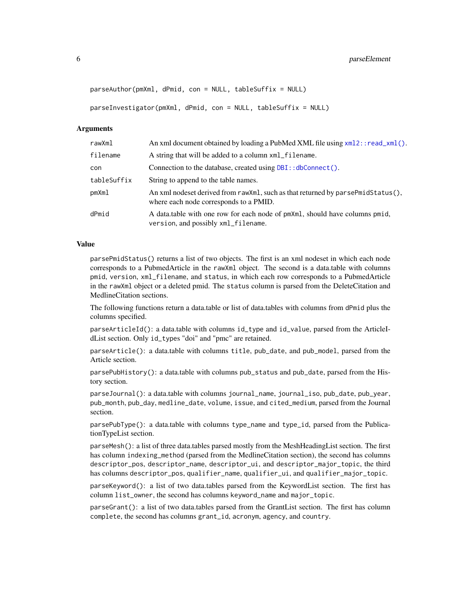```
parseAuthor(pmXml, dPmid, con = NULL, tableSuffix = NULL)
parseInvestigator(pmXml, dPmid, con = NULL, tableSuffix = NULL)
```
#### Arguments

| rawXml      | An xml document obtained by loading a PubMed XML file using xml2::read_xml().                                             |
|-------------|---------------------------------------------------------------------------------------------------------------------------|
| filename    | A string that will be added to a column $xml$ filename.                                                                   |
| con         | Connection to the database, created using DBI:: dbConnect().                                                              |
| tableSuffix | String to append to the table names.                                                                                      |
| pmXml       | An xml nodeset derived from rawXml, such as that returned by parsePmidStatus(),<br>where each node corresponds to a PMID. |
| dPmid       | A data table with one row for each node of pm Xml, should have columns pmid,<br>version, and possibly xml_filename.       |

#### Value

parsePmidStatus() returns a list of two objects. The first is an xml nodeset in which each node corresponds to a PubmedArticle in the rawXml object. The second is a data.table with columns pmid, version, xml\_filename, and status, in which each row corresponds to a PubmedArticle in the rawXml object or a deleted pmid. The status column is parsed from the DeleteCitation and MedlineCitation sections.

The following functions return a data.table or list of data.tables with columns from dPmid plus the columns specified.

parseArticleId(): a data.table with columns id\_type and id\_value, parsed from the ArticleIdList section. Only id\_types "doi" and "pmc" are retained.

parseArticle(): a data.table with columns title, pub\_date, and pub\_model, parsed from the Article section.

parsePubHistory(): a data.table with columns pub\_status and pub\_date, parsed from the History section.

parseJournal(): a data.table with columns journal\_name, journal\_iso, pub\_date, pub\_year, pub\_month, pub\_day, medline\_date, volume, issue, and cited\_medium, parsed from the Journal section.

parsePubType(): a data.table with columns type\_name and type\_id, parsed from the PublicationTypeList section.

parseMesh(): a list of three data.tables parsed mostly from the MeshHeadingList section. The first has column indexing\_method (parsed from the MedlineCitation section), the second has columns descriptor\_pos, descriptor\_name, descriptor\_ui, and descriptor\_major\_topic, the third has columns descriptor\_pos, qualifier\_name, qualifier\_ui, and qualifier\_major\_topic.

parseKeyword(): a list of two data.tables parsed from the KeywordList section. The first has column list\_owner, the second has columns keyword\_name and major\_topic.

parseGrant(): a list of two data.tables parsed from the GrantList section. The first has column complete, the second has columns grant\_id, acronym, agency, and country.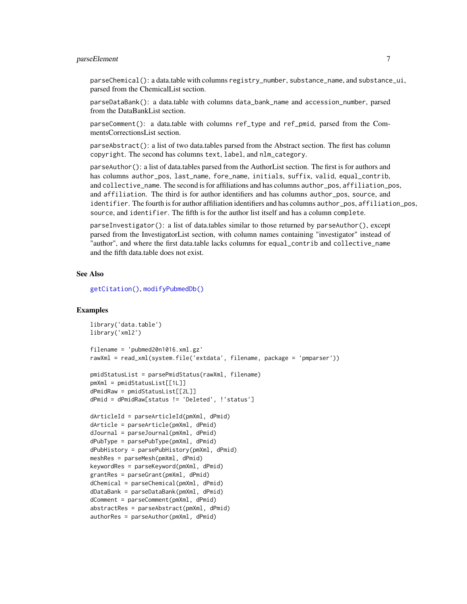# <span id="page-6-0"></span>parseElement 7

parseChemical(): a data.table with columns registry\_number, substance\_name, and substance\_ui, parsed from the ChemicalList section.

parseDataBank(): a data.table with columns data\_bank\_name and accession\_number, parsed from the DataBankList section.

parseComment(): a data.table with columns ref\_type and ref\_pmid, parsed from the CommentsCorrectionsList section.

parseAbstract(): a list of two data.tables parsed from the Abstract section. The first has column copyright. The second has columns text, label, and nlm\_category.

parseAuthor(): a list of data.tables parsed from the AuthorList section. The first is for authors and has columns author\_pos, last\_name, fore\_name, initials, suffix, valid, equal\_contrib, and collective\_name. The second is for affiliations and has columns author\_pos, affiliation\_pos, and affiliation. The third is for author identifiers and has columns author\_pos, source, and identifier. The fourth is for author affiliation identifiers and has columns author\_pos, affiliation\_pos, source, and identifier. The fifth is for the author list itself and has a column complete.

parseInvestigator(): a list of data.tables similar to those returned by parseAuthor(), except parsed from the InvestigatorList section, with column names containing "investigator" instead of "author", and where the first data.table lacks columns for equal\_contrib and collective\_name and the fifth data.table does not exist.

#### See Also

[getCitation\(\)](#page-1-1), [modifyPubmedDb\(\)](#page-3-1)

#### Examples

```
library('data.table')
library('xml2')
filename = 'pubmed20n1016.xml.gz'
rawXml = read_xml(system.file('extdata', filename, package = 'pmparser'))
pmidStatusList = parsePmidStatus(rawXml, filename)
pmXml = pmidStatusList[[1L]]
dPmidRaw = pmidStatusList[[2L]]
dPmid = dPmidRaw[status != 'Deleted', !'status']
dArticleId = parseArticleId(pmXml, dPmid)
dArticle = parseArticle(pmXml, dPmid)
dJournal = parseJournal(pmXml, dPmid)
dPubType = parsePubType(pmXml, dPmid)
dPubHistory = parsePubHistory(pmXml, dPmid)
meshRes = parseMesh(pmXml, dPmid)
keywordRes = parseKeyword(pmXml, dPmid)
grantRes = parseGrant(pmXml, dPmid)
dChemical = parseChemical(pmXml, dPmid)
dDataBank = parseDataBank(pmXml, dPmid)
dComment = parseComment(pmXml, dPmid)
abstractRes = parseAbstract(pmXml, dPmid)
authorRes = parseAuthor(pmXml, dPmid)
```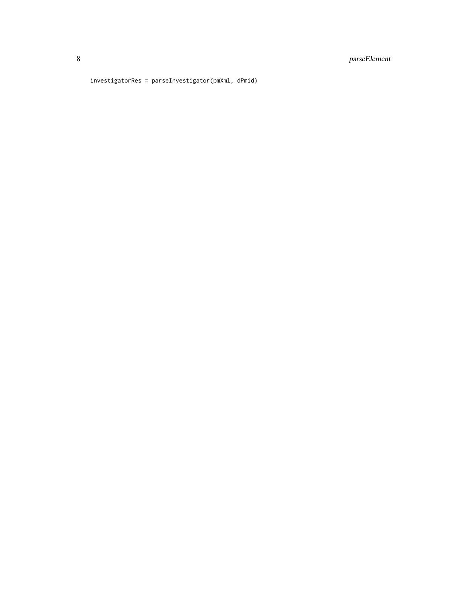investigatorRes = parseInvestigator(pmXml, dPmid)